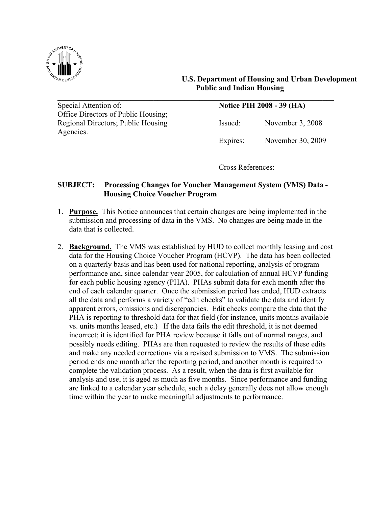

## **U.S. Department of Housing and Urban Development Public and Indian Housing**

Special Attention of: **Notice PIH 2008 - 39 (HA)** Office Directors of Public Housing; Regional Directors; Public Housing Issued: November 3, 2008 Agencies.

Expires: November 30, 2009

Cross References:

## **SUBJECT: Processing Changes for Voucher Management System (VMS) Data - Housing Choice Voucher Program**

 $\_$  , and the contribution of the contribution of  $\mathcal{L}_\mathcal{A}$  , and the contribution of  $\mathcal{L}_\mathcal{A}$ 

 $\mathcal{L}_\text{max}$  , and the contribution of the contribution of the contribution of the contribution of the contribution of the contribution of the contribution of the contribution of the contribution of the contribution of t

- 1. **Purpose.** This Notice announces that certain changes are being implemented in the submission and processing of data in the VMS. No changes are being made in the data that is collected.
- 2. **Background.** The VMS was established by HUD to collect monthly leasing and cost data for the Housing Choice Voucher Program (HCVP). The data has been collected on a quarterly basis and has been used for national reporting, analysis of program performance and, since calendar year 2005, for calculation of annual HCVP funding for each public housing agency (PHA). PHAs submit data for each month after the end of each calendar quarter. Once the submission period has ended, HUD extracts all the data and performs a variety of "edit checks" to validate the data and identify apparent errors, omissions and discrepancies. Edit checks compare the data that the PHA is reporting to threshold data for that field (for instance, units months available vs. units months leased, etc.) If the data fails the edit threshold, it is not deemed incorrect; it is identified for PHA review because it falls out of normal ranges, and possibly needs editing. PHAs are then requested to review the results of these edits and make any needed corrections via a revised submission to VMS. The submission period ends one month after the reporting period, and another month is required to complete the validation process. As a result, when the data is first available for analysis and use, it is aged as much as five months. Since performance and funding are linked to a calendar year schedule, such a delay generally does not allow enough time within the year to make meaningful adjustments to performance.